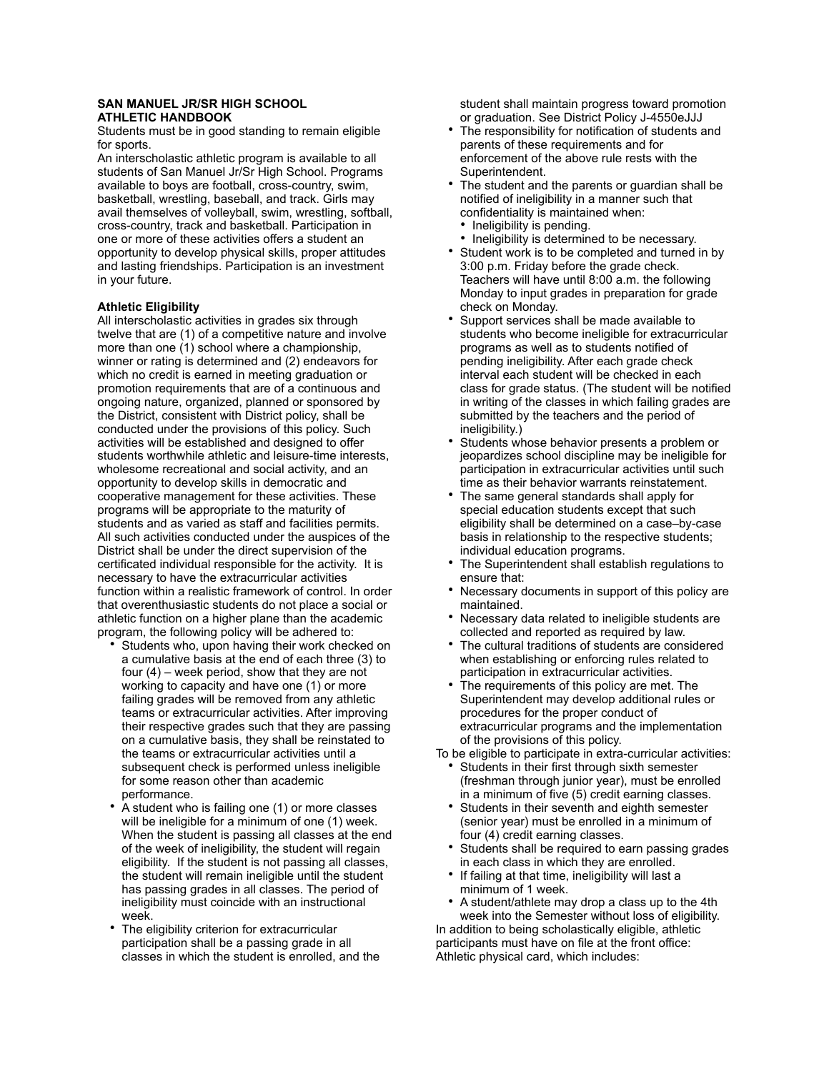#### **SAN MANUEL JR/SR HIGH SCHOOL ATHLETIC HANDBOOK**

Students must be in good standing to remain eligible for sports.

An interscholastic athletic program is available to all students of San Manuel Jr/Sr High School. Programs available to boys are football, cross-country, swim, basketball, wrestling, baseball, and track. Girls may avail themselves of volleyball, swim, wrestling, softball, cross-country, track and basketball. Participation in one or more of these activities offers a student an opportunity to develop physical skills, proper attitudes and lasting friendships. Participation is an investment in your future.

## **Athletic Eligibility**

All interscholastic activities in grades six through twelve that are (1) of a competitive nature and involve more than one (1) school where a championship, winner or rating is determined and (2) endeavors for which no credit is earned in meeting graduation or promotion requirements that are of a continuous and ongoing nature, organized, planned or sponsored by the District, consistent with District policy, shall be conducted under the provisions of this policy. Such activities will be established and designed to offer students worthwhile athletic and leisure-time interests, wholesome recreational and social activity, and an opportunity to develop skills in democratic and cooperative management for these activities. These programs will be appropriate to the maturity of students and as varied as staff and facilities permits. All such activities conducted under the auspices of the District shall be under the direct supervision of the certificated individual responsible for the activity. It is necessary to have the extracurricular activities function within a realistic framework of control. In order that overenthusiastic students do not place a social or athletic function on a higher plane than the academic program, the following policy will be adhered to:

- Students who, upon having their work checked on a cumulative basis at the end of each three (3) to four (4) – week period, show that they are not working to capacity and have one (1) or more failing grades will be removed from any athletic teams or extracurricular activities. After improving their respective grades such that they are passing on a cumulative basis, they shall be reinstated to the teams or extracurricular activities until a subsequent check is performed unless ineligible for some reason other than academic performance.
- A student who is failing one (1) or more classes will be ineligible for a minimum of one (1) week. When the student is passing all classes at the end of the week of ineligibility, the student will regain eligibility. If the student is not passing all classes, the student will remain ineligible until the student has passing grades in all classes. The period of ineligibility must coincide with an instructional week.
- The eligibility criterion for extracurricular participation shall be a passing grade in all classes in which the student is enrolled, and the

student shall maintain progress toward promotion or graduation. See District Policy J-4550eJJJ

- The responsibility for notification of students and parents of these requirements and for enforcement of the above rule rests with the Superintendent.
- The student and the parents or guardian shall be notified of ineligibility in a manner such that confidentiality is maintained when:
	- Ineligibility is pending.
	- Ineligibility is determined to be necessary.
- Student work is to be completed and turned in by 3:00 p.m. Friday before the grade check. Teachers will have until 8:00 a.m. the following Monday to input grades in preparation for grade check on Monday.
- Support services shall be made available to students who become ineligible for extracurricular programs as well as to students notified of pending ineligibility. After each grade check interval each student will be checked in each class for grade status. (The student will be notified in writing of the classes in which failing grades are submitted by the teachers and the period of ineligibility.)
- Students whose behavior presents a problem or jeopardizes school discipline may be ineligible for participation in extracurricular activities until such time as their behavior warrants reinstatement.
- The same general standards shall apply for special education students except that such eligibility shall be determined on a case–by-case basis in relationship to the respective students; individual education programs.
- The Superintendent shall establish regulations to ensure that:
- Necessary documents in support of this policy are maintained.
- Necessary data related to ineligible students are collected and reported as required by law.
- The cultural traditions of students are considered when establishing or enforcing rules related to participation in extracurricular activities.
- The requirements of this policy are met. The Superintendent may develop additional rules or procedures for the proper conduct of extracurricular programs and the implementation of the provisions of this policy.
- To be eligible to participate in extra-curricular activities:
- Students in their first through sixth semester (freshman through junior year), must be enrolled in a minimum of five (5) credit earning classes.
- Students in their seventh and eighth semester (senior year) must be enrolled in a minimum of four (4) credit earning classes.
- Students shall be required to earn passing grades in each class in which they are enrolled.
- If failing at that time, ineligibility will last a minimum of 1 week.
- A student/athlete may drop a class up to the 4th week into the Semester without loss of eligibility.

In addition to being scholastically eligible, athletic participants must have on file at the front office: Athletic physical card, which includes: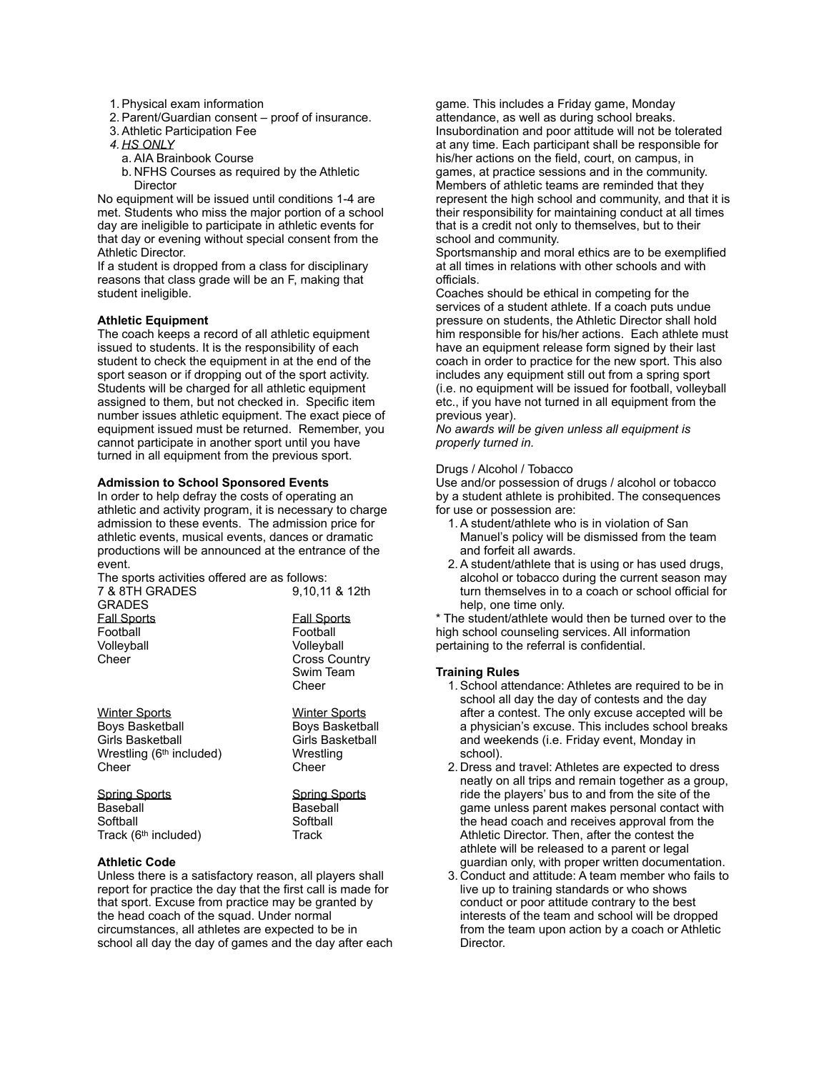- 1.Physical exam information
- 2.Parent/Guardian consent proof of insurance.
- 3.Athletic Participation Fee
- *4. HS ONLY*
- a.AIA Brainbook Course
- b. NFHS Courses as required by the Athletic **Director**

No equipment will be issued until conditions 1-4 are met. Students who miss the major portion of a school day are ineligible to participate in athletic events for that day or evening without special consent from the Athletic Director.

If a student is dropped from a class for disciplinary reasons that class grade will be an F, making that student ineligible.

## **Athletic Equipment**

The coach keeps a record of all athletic equipment issued to students. It is the responsibility of each student to check the equipment in at the end of the sport season or if dropping out of the sport activity. Students will be charged for all athletic equipment assigned to them, but not checked in. Specific item number issues athletic equipment. The exact piece of equipment issued must be returned. Remember, you cannot participate in another sport until you have turned in all equipment from the previous sport.

# **Admission to School Sponsored Events**

In order to help defray the costs of operating an athletic and activity program, it is necessary to charge admission to these events. The admission price for athletic events, musical events, dances or dramatic productions will be announced at the entrance of the event.

| The sports activities offered are as follows:<br>7 & 8TH GRADES<br><b>GRADES</b> | 9,10,11 & 12th                                                                             |
|----------------------------------------------------------------------------------|--------------------------------------------------------------------------------------------|
| <b>Fall Sports</b><br>Football<br>Volleyball<br>Cheer                            | <b>Fall Sports</b><br>Football<br>Volleyball<br><b>Cross Country</b><br>Swim Team<br>Cheer |
| <b>Winter Sports</b>                                                             | <b>Winter Sports</b>                                                                       |
| <b>Boys Basketball</b>                                                           | <b>Boys Basketball</b>                                                                     |
| <b>Girls Basketball</b>                                                          | Girls Basketball                                                                           |
| Wrestling (6 <sup>th</sup> included)                                             | Wrestling                                                                                  |
| Cheer                                                                            | Cheer                                                                                      |
| <b>Spring Sports</b>                                                             | <b>Spring Sports</b>                                                                       |
| Baseball                                                                         | Baseball                                                                                   |
| Softball                                                                         | Softball                                                                                   |

#### **Athletic Code**

Unless there is a satisfactory reason, all players shall report for practice the day that the first call is made for that sport. Excuse from practice may be granted by the head coach of the squad. Under normal circumstances, all athletes are expected to be in school all day the day of games and the day after each

Track (6<sup>th</sup> included) Track

game. This includes a Friday game, Monday attendance, as well as during school breaks. Insubordination and poor attitude will not be tolerated at any time. Each participant shall be responsible for his/her actions on the field, court, on campus, in games, at practice sessions and in the community. Members of athletic teams are reminded that they represent the high school and community, and that it is their responsibility for maintaining conduct at all times that is a credit not only to themselves, but to their school and community.

Sportsmanship and moral ethics are to be exemplified at all times in relations with other schools and with officials.

Coaches should be ethical in competing for the services of a student athlete. If a coach puts undue pressure on students, the Athletic Director shall hold him responsible for his/her actions. Each athlete must have an equipment release form signed by their last coach in order to practice for the new sport. This also includes any equipment still out from a spring sport (i.e. no equipment will be issued for football, volleyball etc., if you have not turned in all equipment from the previous year).

*No awards will be given unless all equipment is properly turned in.* 

#### Drugs / Alcohol / Tobacco

Use and/or possession of drugs / alcohol or tobacco by a student athlete is prohibited. The consequences for use or possession are:

- 1.A student/athlete who is in violation of San Manuel's policy will be dismissed from the team and forfeit all awards.
- 2.A student/athlete that is using or has used drugs, alcohol or tobacco during the current season may turn themselves in to a coach or school official for help, one time only.

\* The student/athlete would then be turned over to the high school counseling services. All information pertaining to the referral is confidential.

## **Training Rules**

- 1.School attendance: Athletes are required to be in school all day the day of contests and the day after a contest. The only excuse accepted will be a physician's excuse. This includes school breaks and weekends (i.e. Friday event, Monday in school).
- 2. Dress and travel: Athletes are expected to dress neatly on all trips and remain together as a group, ride the players' bus to and from the site of the game unless parent makes personal contact with the head coach and receives approval from the Athletic Director. Then, after the contest the athlete will be released to a parent or legal guardian only, with proper written documentation.
- 3. Conduct and attitude: A team member who fails to live up to training standards or who shows conduct or poor attitude contrary to the best interests of the team and school will be dropped from the team upon action by a coach or Athletic Director.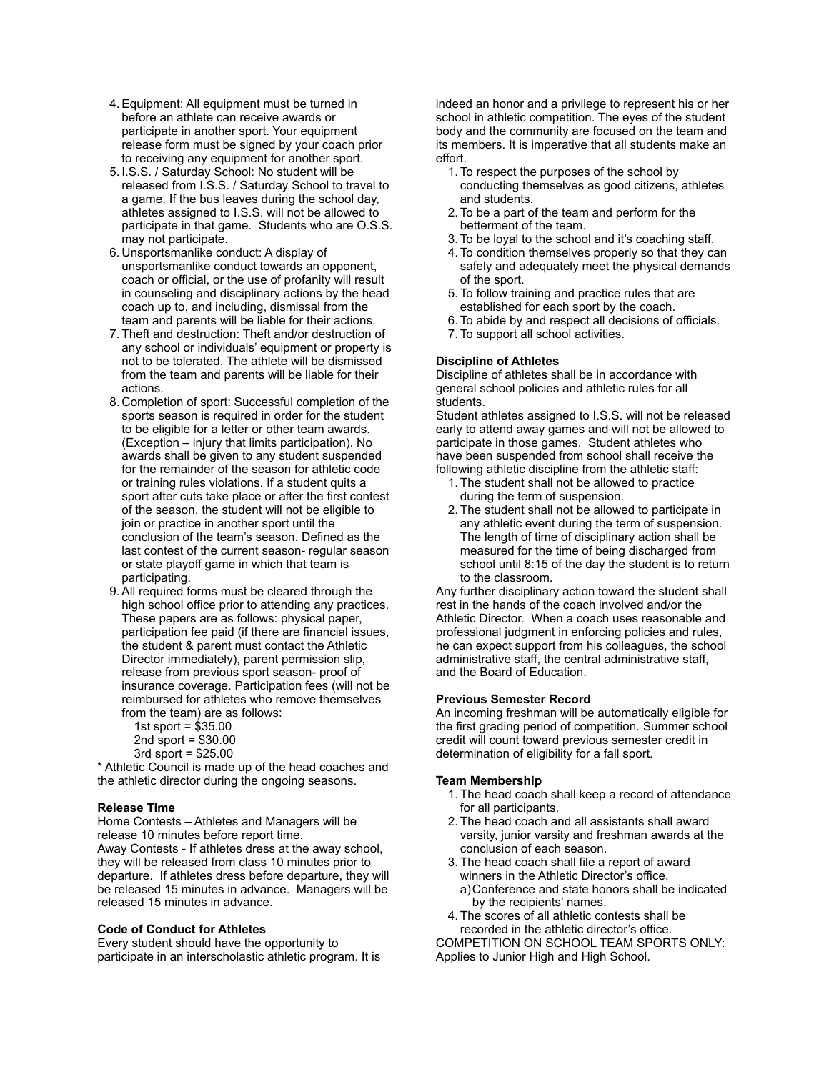- 4.Equipment: All equipment must be turned in before an athlete can receive awards or participate in another sport. Your equipment release form must be signed by your coach prior to receiving any equipment for another sport.
- 5. I.S.S. / Saturday School: No student will be released from I.S.S. / Saturday School to travel to a game. If the bus leaves during the school day, athletes assigned to I.S.S. will not be allowed to participate in that game. Students who are O.S.S. may not participate.
- 6. Unsportsmanlike conduct: A display of unsportsmanlike conduct towards an opponent, coach or official, or the use of profanity will result in counseling and disciplinary actions by the head coach up to, and including, dismissal from the team and parents will be liable for their actions.
- 7. Theft and destruction: Theft and/or destruction of any school or individuals' equipment or property is not to be tolerated. The athlete will be dismissed from the team and parents will be liable for their actions.
- 8. Completion of sport: Successful completion of the sports season is required in order for the student to be eligible for a letter or other team awards. (Exception – injury that limits participation). No awards shall be given to any student suspended for the remainder of the season for athletic code or training rules violations. If a student quits a sport after cuts take place or after the first contest of the season, the student will not be eligible to join or practice in another sport until the conclusion of the team's season. Defined as the last contest of the current season- regular season or state playoff game in which that team is participating.
- 9.All required forms must be cleared through the high school office prior to attending any practices. These papers are as follows: physical paper, participation fee paid (if there are financial issues, the student & parent must contact the Athletic Director immediately), parent permission slip, release from previous sport season- proof of insurance coverage. Participation fees (will not be reimbursed for athletes who remove themselves from the team) are as follows:
	- 1st sport = \$35.00
	- 2nd sport = \$30.00
	- 3rd sport = \$25.00

\* Athletic Council is made up of the head coaches and the athletic director during the ongoing seasons.

## **Release Time**

Home Contests – Athletes and Managers will be release 10 minutes before report time. Away Contests - If athletes dress at the away school, they will be released from class 10 minutes prior to departure. If athletes dress before departure, they will be released 15 minutes in advance. Managers will be released 15 minutes in advance.

## **Code of Conduct for Athletes**

Every student should have the opportunity to participate in an interscholastic athletic program. It is

indeed an honor and a privilege to represent his or her school in athletic competition. The eyes of the student body and the community are focused on the team and its members. It is imperative that all students make an effort.

- 1. To respect the purposes of the school by conducting themselves as good citizens, athletes and students.
- 2. To be a part of the team and perform for the betterment of the team.
- 3. To be loyal to the school and it's coaching staff.
- 4. To condition themselves properly so that they can safely and adequately meet the physical demands of the sport.
- 5. To follow training and practice rules that are established for each sport by the coach.
- 6. To abide by and respect all decisions of officials.
- 7. To support all school activities.

# **Discipline of Athletes**

Discipline of athletes shall be in accordance with general school policies and athletic rules for all students.

Student athletes assigned to I.S.S. will not be released early to attend away games and will not be allowed to participate in those games. Student athletes who have been suspended from school shall receive the following athletic discipline from the athletic staff:

- 1. The student shall not be allowed to practice during the term of suspension.
- 2. The student shall not be allowed to participate in any athletic event during the term of suspension. The length of time of disciplinary action shall be measured for the time of being discharged from school until 8:15 of the day the student is to return to the classroom.

Any further disciplinary action toward the student shall rest in the hands of the coach involved and/or the Athletic Director. When a coach uses reasonable and professional judgment in enforcing policies and rules, he can expect support from his colleagues, the school administrative staff, the central administrative staff, and the Board of Education.

## **Previous Semester Record**

An incoming freshman will be automatically eligible for the first grading period of competition. Summer school credit will count toward previous semester credit in determination of eligibility for a fall sport.

## **Team Membership**

- 1. The head coach shall keep a record of attendance for all participants.
- 2. The head coach and all assistants shall award varsity, junior varsity and freshman awards at the conclusion of each season.
- 3. The head coach shall file a report of award winners in the Athletic Director's office. a)Conference and state honors shall be indicated by the recipients' names.
- 4. The scores of all athletic contests shall be recorded in the athletic director's office.

COMPETITION ON SCHOOL TEAM SPORTS ONLY: Applies to Junior High and High School.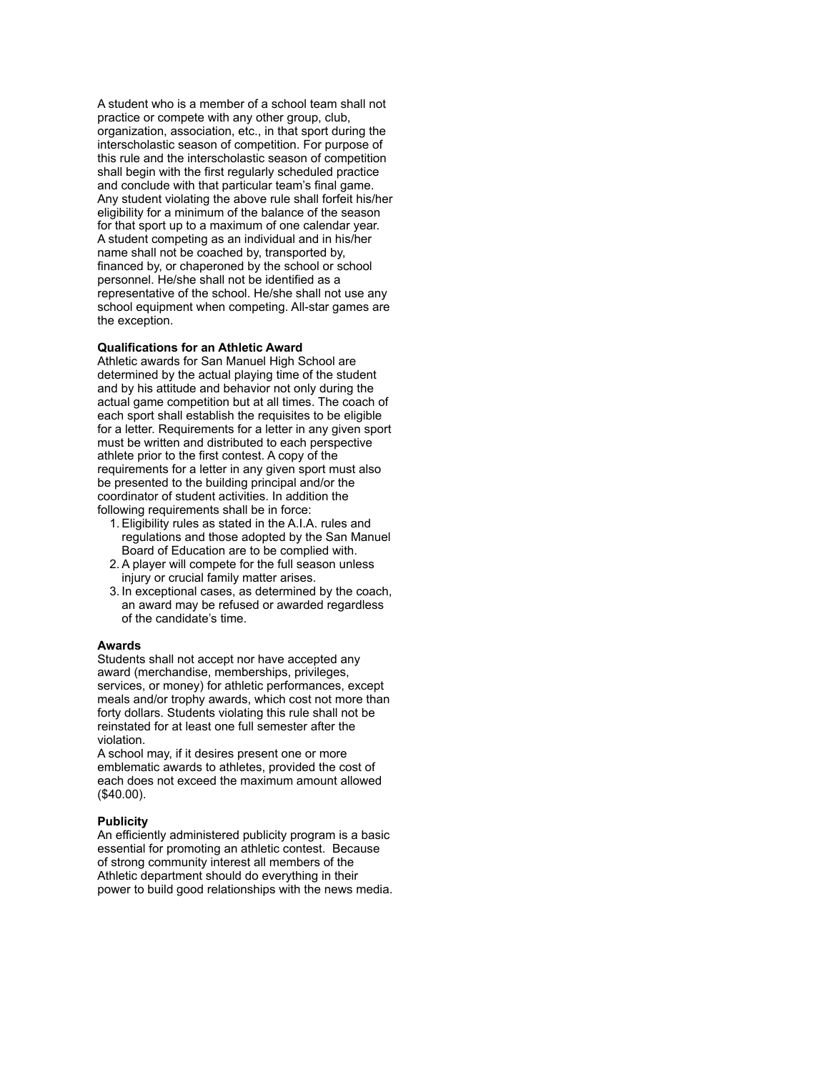A student who is a member of a school team shall not practice or compete with any other group, club, organization, association, etc., in that sport during the interscholastic season of competition. For purpose of this rule and the interscholastic season of competition shall begin with the first regularly scheduled practice and conclude with that particular team's final game. Any student violating the above rule shall forfeit his/her eligibility for a minimum of the balance of the season for that sport up to a maximum of one calendar year. A student competing as an individual and in his/her name shall not be coached by, transported by, financed by, or chaperoned by the school or school personnel. He/she shall not be identified as a representative of the school. He/she shall not use any school equipment when competing. All-star games are the exception.

#### **Qualifications for an Athletic Award**

Athletic awards for San Manuel High School are determined by the actual playing time of the student and by his attitude and behavior not only during the actual game competition but at all times. The coach of each sport shall establish the requisites to be eligible for a letter. Requirements for a letter in any given sport must be written and distributed to each perspective athlete prior to the first contest. A copy of the requirements for a letter in any given sport must also be presented to the building principal and/or the coordinator of student activities. In addition the following requirements shall be in force:

- 1.Eligibility rules as stated in the A.I.A. rules and regulations and those adopted by the San Manuel Board of Education are to be complied with.
- 2.A player will compete for the full season unless injury or crucial family matter arises.
- 3. In exceptional cases, as determined by the coach, an award may be refused or awarded regardless of the candidate's time.

#### **Awards**

Students shall not accept nor have accepted any award (merchandise, memberships, privileges, services, or money) for athletic performances, except meals and/or trophy awards, which cost not more than forty dollars. Students violating this rule shall not be reinstated for at least one full semester after the violation.

A school may, if it desires present one or more emblematic awards to athletes, provided the cost of each does not exceed the maximum amount allowed (\$40.00).

#### **Publicity**

An efficiently administered publicity program is a basic essential for promoting an athletic contest. Because of strong community interest all members of the Athletic department should do everything in their power to build good relationships with the news media.